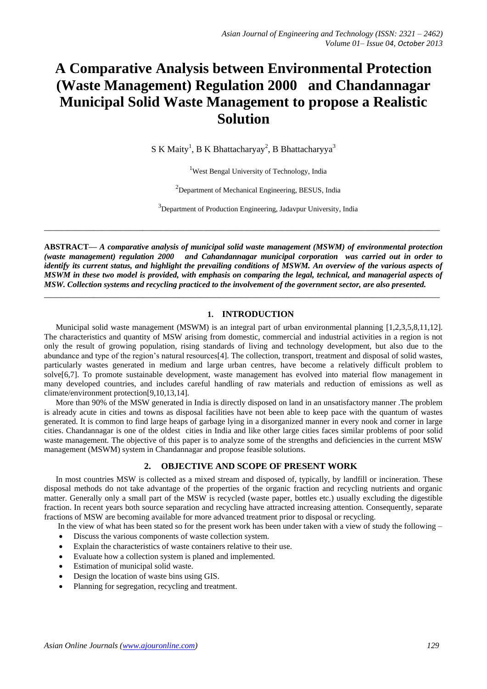# **A Comparative Analysis between Environmental Protection (Waste Management) Regulation 2000 and Chandannagar Municipal Solid Waste Management to propose a Realistic Solution**

S K Maity<sup>1</sup>, B K Bhattacharyay<sup>2</sup>, B Bhattacharyya<sup>3</sup>

<sup>1</sup>West Bengal University of Technology, India

<sup>2</sup>Department of Mechanical Engineering, BESUS, India

<sup>3</sup>Department of Production Engineering, Jadavpur University, India

**ABSTRACT—** *A comparative analysis of municipal solid waste management (MSWM) of environmental protection (waste management) regulation 2000 and Cahandannagar municipal corporation was carried out in order to identify its current status, and highlight the prevailing conditions of MSWM. An overview of the various aspects of MSWM in these two model is provided, with emphasis on comparing the legal, technical, and managerial aspects of MSW. Collection systems and recycling practiced to the involvement of the government sector, are also presented.*

**\_\_\_\_\_\_\_\_\_\_\_\_\_\_\_\_\_\_\_\_\_\_\_\_\_\_\_\_\_\_\_\_\_\_\_\_\_\_\_\_\_\_\_\_\_\_\_\_\_\_\_\_\_\_\_\_\_\_\_\_\_\_\_\_\_\_\_\_\_\_\_\_\_\_\_\_\_\_\_\_\_\_\_\_\_\_\_\_**

**\_\_\_\_\_\_\_\_\_\_\_\_\_\_\_\_\_\_\_\_\_\_\_\_\_\_\_\_\_\_\_\_\_\_\_\_\_\_\_\_\_\_\_\_\_\_\_\_\_\_\_\_\_\_\_\_\_\_\_\_\_\_\_\_\_\_\_\_\_\_\_\_\_\_\_\_\_\_\_\_\_\_\_\_\_\_\_\_**

# **1. INTRODUCTION**

Municipal solid waste management (MSWM) is an integral part of urban environmental planning [1,2,3,5,8,11,12]. The characteristics and quantity of MSW arising from domestic, commercial and industrial activities in a region is not only the result of growing population, rising standards of living and technology development, but also due to the abundance and type of the region's natural resources[4]. The collection, transport, treatment and disposal of solid wastes, particularly wastes generated in medium and large urban centres, have become a relatively difficult problem to solve[6,7]. To promote sustainable development, waste management has evolved into material flow management in many developed countries, and includes careful handling of raw materials and reduction of emissions as well as climate/environment protection[9,10,13,14].

More than 90% of the MSW generated in India is directly disposed on land in an unsatisfactory manner .The problem is already acute in cities and towns as disposal facilities have not been able to keep pace with the quantum of wastes generated. It is common to find large heaps of garbage lying in a disorganized manner in every nook and corner in large cities. Chandannagar is one of the oldest cities in India and like other large cities faces similar problems of poor solid waste management. The objective of this paper is to analyze some of the strengths and deficiencies in the current MSW management (MSWM) system in Chandannagar and propose feasible solutions.

# **2. OBJECTIVE AND SCOPE OF PRESENT WORK**

In most countries MSW is collected as a mixed stream and disposed of, typically, by landfill or incineration. These disposal methods do not take advantage of the properties of the organic fraction and recycling nutrients and organic matter. Generally only a small part of the MSW is recycled (waste paper, bottles etc.) usually excluding the digestible fraction. In recent years both source separation and recycling have attracted increasing attention. Consequently, separate fractions of MSW are becoming available for more advanced treatment prior to disposal or recycling.

In the view of what has been stated so for the present work has been under taken with a view of study the following –

- Discuss the various components of waste collection system.
- Explain the characteristics of waste containers relative to their use.
- Evaluate how a collection system is planed and implemented.
- Estimation of municipal solid waste.
- Design the location of waste bins using GIS.
- Planning for segregation, recycling and treatment.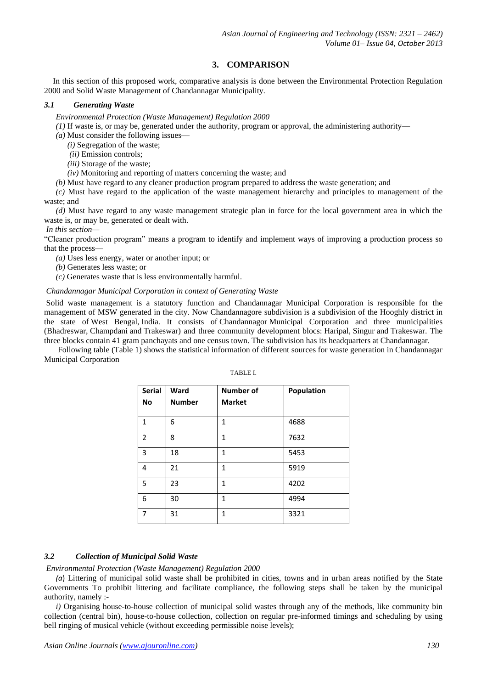# **3. COMPARISON**

In this section of this proposed work, comparative analysis is done between the Environmental Protection Regulation 2000 and Solid Waste Management of Chandannagar Municipality.

## *3.1 Generating Waste*

*Environmental Protection (Waste Management) Regulation 2000*

*(1)* If waste is, or may be, generated under the authority, program or approval, the administering authority—

*(a)* Must consider the following issues—

*(i)* Segregation of the waste;

- *(ii)* Emission controls;
- *(iii)* Storage of the waste;
- *(iv)* Monitoring and reporting of matters concerning the waste; and

*(b)* Must have regard to any cleaner production program prepared to address the waste generation; and

*(c)* Must have regard to the application of the waste management hierarchy and principles to management of the waste; and

*(d)* Must have regard to any waste management strategic plan in force for the local government area in which the waste is, or may be, generated or dealt with.

*In this section—*

"Cleaner production program" means a program to identify and implement ways of improving a production process so that the process—

*(a)* Uses less energy, water or another input; or

*(b)* Generates less waste; or

*(c)* Generates waste that is less environmentally harmful.

## *Chandannagar Municipal Corporation in context of Generating Waste*

Solid waste management is a statutory function and Chandannagar Municipal Corporation is responsible for the management of MSW generated in the city. Now Chandannagore subdivision is a subdivision of the Hooghly district in the state of West Bengal, India. It consists of Chandannagor Municipal Corporation and three municipalities (Bhadreswar, Champdani and Trakeswar) and three community development blocs: Haripal, Singur and Trakeswar. The three blocks contain 41 gram panchayats and one census town. The subdivision has its headquarters at Chandannagar.

Following table (Table 1) shows the statistical information of different sources for waste generation in Chandannagar Municipal Corporation

| <b>Serial</b><br>No | Ward<br><b>Number</b> | Number of<br><b>Market</b> | Population |
|---------------------|-----------------------|----------------------------|------------|
| $\mathbf{1}$        | 6                     | $\mathbf{1}$               | 4688       |
| 2                   | 8                     | 1                          | 7632       |
| 3                   | 18                    | 1                          | 5453       |
| 4                   | 21                    | 1                          | 5919       |
| 5                   | 23                    | 1                          | 4202       |
| 6                   | 30                    | 1                          | 4994       |
| 7                   | 31                    | $\mathbf{1}$               | 3321       |

# TABLE I.

## *3.2 Collection of Municipal Solid Waste*

*Environmental Protection (Waste Management) Regulation 2000*

*(a*) Littering of municipal solid waste shall be prohibited in cities, towns and in urban areas notified by the State Governments To prohibit littering and facilitate compliance, the following steps shall be taken by the municipal authority, namely :-

*i)* Organising house-to-house collection of municipal solid wastes through any of the methods, like community bin collection (central bin), house-to-house collection, collection on regular pre-informed timings and scheduling by using bell ringing of musical vehicle (without exceeding permissible noise levels);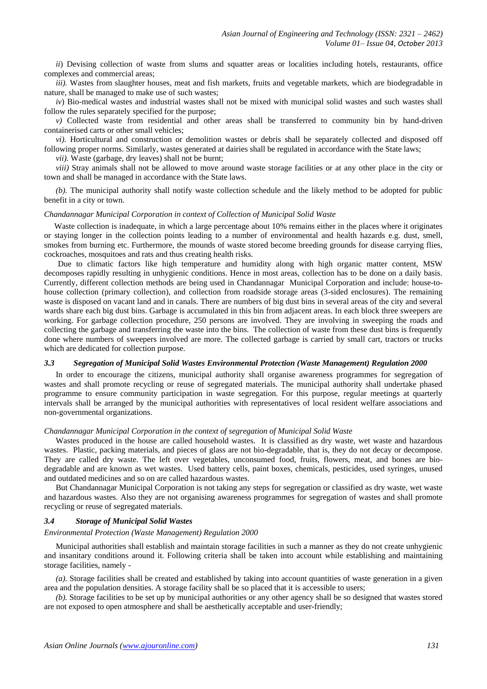*ii*) Devising collection of waste from slums and squatter areas or localities including hotels, restaurants, office complexes and commercial areas;

*iii*). Wastes from slaughter houses, meat and fish markets, fruits and vegetable markets, which are biodegradable in nature, shall be managed to make use of such wastes;

*iv*) Bio-medical wastes and industrial wastes shall not be mixed with municipal solid wastes and such wastes shall follow the rules separately specified for the purpose;

*v*) Collected waste from residential and other areas shall be transferred to community bin by hand-driven containerised carts or other small vehicles;

*vi).* Horticultural and construction or demolition wastes or debris shall be separately collected and disposed off following proper norms. Similarly, wastes generated at dairies shall be regulated in accordance with the State laws;

*vii).* Waste (garbage, dry leaves) shall not be burnt;

*viii*) Stray animals shall not be allowed to move around waste storage facilities or at any other place in the city or town and shall be managed in accordance with the State laws.

*(b).* The municipal authority shall notify waste collection schedule and the likely method to be adopted for public benefit in a city or town.

#### *Chandannagar Municipal Corporation in context of Collection of Municipal Solid Waste*

Waste collection is inadequate, in which a large percentage about 10% remains either in the places where it originates or staying longer in the collection points leading to a number of environmental and health hazards e.g. dust, smell, smokes from burning etc. Furthermore, the mounds of waste stored become breeding grounds for disease carrying flies, cockroaches, mosquitoes and rats and thus creating health risks.

Due to climatic factors like high temperature and humidity along with high organic matter content, MSW decomposes rapidly resulting in unhygienic conditions. Hence in most areas, collection has to be done on a daily basis. Currently, different collection methods are being used in Chandannagar Municipal Corporation and include: house-tohouse collection (primary collection), and collection from roadside storage areas (3-sided enclosures). The remaining waste is disposed on vacant land and in canals. There are numbers of big dust bins in several areas of the city and several wards share each big dust bins. Garbage is accumulated in this bin from adjacent areas. In each block three sweepers are working. For garbage collection procedure, 250 persons are involved. They are involving in sweeping the roads and collecting the garbage and transferring the waste into the bins. The collection of waste from these dust bins is frequently done where numbers of sweepers involved are more. The collected garbage is carried by small cart, tractors or trucks which are dedicated for collection purpose.

#### *3.3 Segregation of Municipal Solid Wastes Environmental Protection (Waste Management) Regulation 2000*

In order to encourage the citizens, municipal authority shall organise awareness programmes for segregation of wastes and shall promote recycling or reuse of segregated materials. The municipal authority shall undertake phased programme to ensure community participation in waste segregation. For this purpose, regular meetings at quarterly intervals shall be arranged by the municipal authorities with representatives of local resident welfare associations and non-governmental organizations.

#### *Chandannagar Municipal Corporation in the context of segregation of Municipal Solid Waste*

Wastes produced in the house are called household wastes. It is classified as dry waste, wet waste and hazardous wastes. Plastic, packing materials, and pieces of glass are not bio-degradable, that is, they do not decay or decompose. They are called dry waste. The left over vegetables, unconsumed food, fruits, flowers, meat, and bones are biodegradable and are known as wet wastes. Used battery cells, paint boxes, chemicals, pesticides, used syringes, unused and outdated medicines and so on are called hazardous wastes.

But Chandannagar Municipal Corporation is not taking any steps for segregation or classified as dry waste, wet waste and hazardous wastes. Also they are not organising awareness programmes for segregation of wastes and shall promote recycling or reuse of segregated materials.

#### *3.4 Storage of Municipal Solid Wastes*

#### *Environmental Protection (Waste Management) Regulation 2000*

Municipal authorities shall establish and maintain storage facilities in such a manner as they do not create unhygienic and insanitary conditions around it. Following criteria shall be taken into account while establishing and maintaining storage facilities, namely -

*(a).* Storage facilities shall be created and established by taking into account quantities of waste generation in a given area and the population densities. A storage facility shall be so placed that it is accessible to users;

*(b).* Storage facilities to be set up by municipal authorities or any other agency shall be so designed that wastes stored are not exposed to open atmosphere and shall be aesthetically acceptable and user-friendly;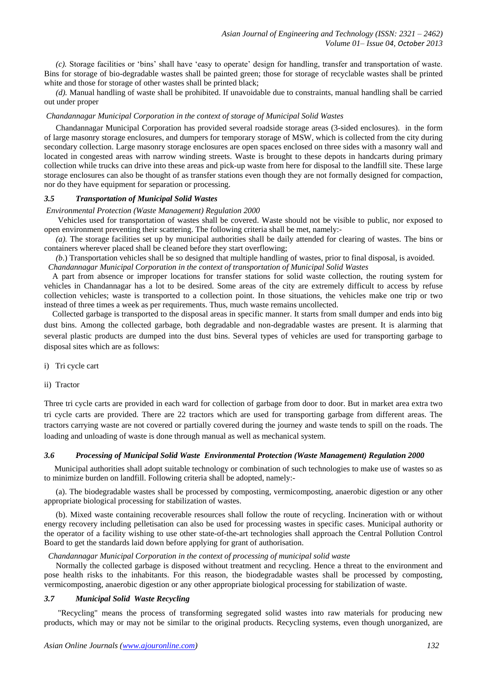*(c).* Storage facilities or 'bins' shall have 'easy to operate' design for handling, transfer and transportation of waste. Bins for storage of bio-degradable wastes shall be painted green; those for storage of recyclable wastes shall be printed white and those for storage of other wastes shall be printed black;

*(d).* Manual handling of waste shall be prohibited. If unavoidable due to constraints, manual handling shall be carried out under proper

## *Chandannagar Municipal Corporation in the context of storage of Municipal Solid Wastes*

Chandannagar Municipal Corporation has provided several roadside storage areas (3-sided enclosures). in the form of large masonry storage enclosures, and dumpers for temporary storage of MSW, which is collected from the city during secondary collection. Large masonry storage enclosures are open spaces enclosed on three sides with a masonry wall and located in congested areas with narrow winding streets. Waste is brought to these depots in handcarts during primary collection while trucks can drive into these areas and pick-up waste from here for disposal to the landfill site. These large storage enclosures can also be thought of as transfer stations even though they are not formally designed for compaction, nor do they have equipment for separation or processing.

#### *3.5 Transportation of Municipal Solid Wastes*

#### *Environmental Protection (Waste Management) Regulation 2000*

Vehicles used for transportation of wastes shall be covered. Waste should not be visible to public, nor exposed to open environment preventing their scattering. The following criteria shall be met, namely:-

*(a).* The storage facilities set up by municipal authorities shall be daily attended for clearing of wastes. The bins or containers wherever placed shall be cleaned before they start overflowing;

*(b*.) Transportation vehicles shall be so designed that multiple handling of wastes, prior to final disposal, is avoided.  *Chandannagar Municipal Corporation in the context of transportation of Municipal Solid Wastes*

 A part from absence or improper locations for transfer stations for solid waste collection, the routing system for vehicles in Chandannagar has a lot to be desired. Some areas of the city are extremely difficult to access by refuse collection vehicles; waste is transported to a collection point. In those situations, the vehicles make one trip or two instead of three times a week as per requirements. Thus, much waste remains uncollected.

 Collected garbage is transported to the disposal areas in specific manner. It starts from small dumper and ends into big dust bins. Among the collected garbage, both degradable and non-degradable wastes are present. It is alarming that several plastic products are dumped into the dust bins. Several types of vehicles are used for transporting garbage to disposal sites which are as follows:

i) Tri cycle cart

ii) Tractor

Three tri cycle carts are provided in each ward for collection of garbage from door to door. But in market area extra two tri cycle carts are provided. There are 22 tractors which are used for transporting garbage from different areas. The tractors carrying waste are not covered or partially covered during the journey and waste tends to spill on the roads. The loading and unloading of waste is done through manual as well as mechanical system.

# *3.6 Processing of Municipal Solid Waste Environmental Protection (Waste Management) Regulation 2000*

 Municipal authorities shall adopt suitable technology or combination of such technologies to make use of wastes so as to minimize burden on landfill. Following criteria shall be adopted, namely:-

(a). The biodegradable wastes shall be processed by composting, vermicomposting, anaerobic digestion or any other appropriate biological processing for stabilization of wastes.

(b). Mixed waste containing recoverable resources shall follow the route of recycling. Incineration with or without energy recovery including pelletisation can also be used for processing wastes in specific cases. Municipal authority or the operator of a facility wishing to use other state-of-the-art technologies shall approach the Central Pollution Control Board to get the standards laid down before applying for grant of authorisation.

#### *Chandannagar Municipal Corporation in the context of processing of municipal solid waste*

Normally the collected garbage is disposed without treatment and recycling. Hence a threat to the environment and pose health risks to the inhabitants. For this reason, the biodegradable wastes shall be processed by composting, vermicomposting, anaerobic digestion or any other appropriate biological processing for stabilization of waste.

#### *3.7 Municipal Solid Waste Recycling*

"Recycling" means the process of transforming segregated solid wastes into raw materials for producing new products, which may or may not be similar to the original products. Recycling systems, even though unorganized, are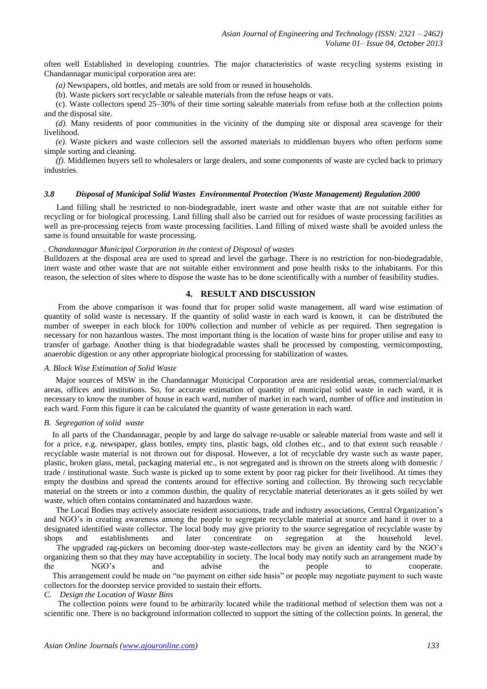often well Established in developing countries. The major characteristics of waste recycling systems existing in Chandannagar municipal corporation area are:

*(a)* Newspapers, old bottles, and metals are sold from or reused in households.

(b). Waste pickers sort recyclable or saleable materials from the refuse heaps or vats.

(c). Waste collectors spend 25–30% of their time sorting saleable materials from refuse both at the collection points and the disposal site.

*(d).* Many residents of poor communities in the vicinity of the dumping site or disposal area scavenge for their livelihood.

*(e).* Waste pickers and waste collectors sell the assorted materials to middleman buyers who often perform some simple sorting and cleaning.

*(f).* Middlemen buyers sell to wholesalers or large dealers, and some components of waste are cycled back to primary industries.

## *3.8 Disposal of Municipal Solid Wastes Environmental Protection (Waste Management) Regulation 2000*

 Land filling shall be restricted to non-biodegradable, inert waste and other waste that are not suitable either for recycling or for biological processing. Land filling shall also be carried out for residues of waste processing facilities as well as pre-processing rejects from waste processing facilities. Land filling of mixed waste shall be avoided unless the same is found unsuitable for waste processing.

#### *. Chandannagar Municipal Corporation in the context of Disposal of wastes*

Bulldozers at the disposal area are used to spread and level the garbage. There is no restriction for non-biodegradable, inert waste and other waste that are not suitable either environment and pose health risks to the inhabitants. For this reason, the selection of sites where to dispose the waste has to be done scientifically with a number of feasibility studies.

## **4. RESULT AND DISCUSSION**

From the above comparison it was found that for proper solid waste management, all ward wise estimation of quantity of solid waste is necessary. If the quantity of solid waste in each ward is known, it can be distributed the number of sweeper in each block for 100% collection and number of vehicle as per required. Then segregation is necessary for non hazardous wastes. The most important thing is the location of waste bins for proper utilise and easy to transfer of garbage. Another thing is that biodegradable wastes shall be processed by composting, vermicomposting, anaerobic digestion or any other appropriate biological processing for stabilization of wastes.

#### *A. Block Wise Estimation of Solid Waste*

Major sources of MSW in the Chandannagar Municipal Corporation area are residential areas, commercial/market areas, offices and institutions. So, for accurate estimation of quantity of municipal solid waste in each ward, it is necessary to know the number of house in each ward, number of market in each ward, number of office and institution in each ward. Form this figure it can be calculated the quantity of waste generation in each ward.

#### *B. Segregation of solid waste*

 In all parts of the Chandannagar, people by and large do salvage re-usable or saleable material from waste and sell it for a price, e.g. newspaper, glass bottles, empty tins, plastic bags, old clothes etc., and to that extent such reusable / recyclable waste material is not thrown out for disposal. However, a lot of recyclable dry waste such as waste paper, plastic, broken glass, metal, packaging material etc., is not segregated and is thrown on the streets along with domestic / trade / institutional waste. Such waste is picked up to some extent by poor rag picker for their livelihood. At times they empty the dustbins and spread the contents around for effective sorting and collection. By throwing such recyclable material on the streets or into a common dustbin, the quality of recyclable material deteriorates as it gets soiled by wet waste, which often contains contaminated and hazardous waste.

The Local Bodies may actively associate resident associations, trade and industry associations, Central Organization's and NGO's in creating awareness among the people to segregate recyclable material at source and hand it over to a designated identified waste collector. The local body may give priority to the source segregation of recyclable waste by shops and establishments and later concentrate on segregation at the household level. The upgraded rag-pickers on becoming door-step waste-collectors may be given an identity card by the NGO's organizing them so that they may have acceptability in society. The local body may notify such an arrangement made by the NGO's and advise the people to cooperate. This arrangement could be made on "no payment on either side basis" or people may negotiate payment to such waste collectors for the doorstep service provided to sustain their efforts.

#### *C. Design the Location of Waste Bins*

The collection points were found to be arbitrarily located while the traditional method of selection them was not a scientific one. There is no background information collected to support the sitting of the collection points. In general, the